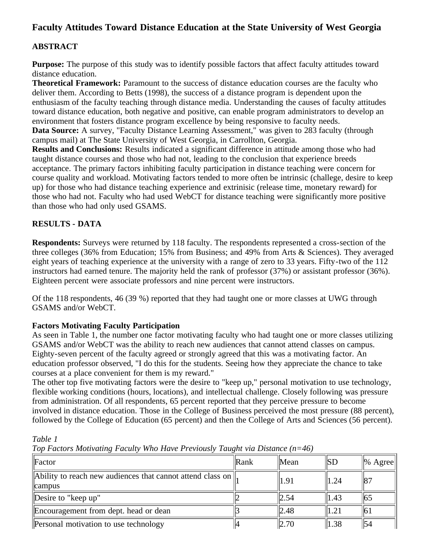# **Faculty Attitudes Toward Distance Education at the State University of West Georgia**

# **ABSTRACT**

**Purpose:** The purpose of this study was to identify possible factors that affect faculty attitudes toward distance education.

**Theoretical Framework:** Paramount to the success of distance education courses are the faculty who deliver them. According to Betts (1998), the success of a distance program is dependent upon the enthusiasm of the faculty teaching through distance media. Understanding the causes of faculty attitudes toward distance education, both negative and positive, can enable program administrators to develop an environment that fosters distance program excellence by being responsive to faculty needs. **Data Source:** A survey, "Faculty Distance Learning Assessment," was given to 283 faculty (through

campus mail) at The State University of West Georgia, in Carrollton, Georgia.

**Results and Conclusions:** Results indicated a significant difference in attitude among those who had taught distance courses and those who had not, leading to the conclusion that experience breeds acceptance. The primary factors inhibiting faculty participation in distance teaching were concern for course quality and workload. Motivating factors tended to more often be intrinsic (challege, desire to keep up) for those who had distance teaching experience and extrinisic (release time, monetary reward) for those who had not. Faculty who had used WebCT for distance teaching were significantly more positive than those who had only used GSAMS.

### **RESULTS - DATA**

**Respondents:** Surveys were returned by 118 faculty. The respondents represented a cross-section of the three colleges (36% from Education; 15% from Business; and 49% from Arts & Sciences). They averaged eight years of teaching experience at the university with a range of zero to 33 years. Fifty-two of the 112 instructors had earned tenure. The majority held the rank of professor (37%) or assistant professor (36%). Eighteen percent were associate professors and nine percent were instructors.

Of the 118 respondents, 46 (39 %) reported that they had taught one or more classes at UWG through GSAMS and/or WebCT.

### **Factors Motivating Faculty Participation**

As seen in Table 1, the number one factor motivating faculty who had taught one or more classes utilizing GSAMS and/or WebCT was the ability to reach new audiences that cannot attend classes on campus. Eighty-seven percent of the faculty agreed or strongly agreed that this was a motivating factor. An education professor observed, "I do this for the students. Seeing how they appreciate the chance to take courses at a place convenient for them is my reward."

The other top five motivating factors were the desire to "keep up," personal motivation to use technology, flexible working conditions (hours, locations), and intellectual challenge. Closely following was pressure from administration. Of all respondents, 65 percent reported that they perceive pressure to become involved in distance education. Those in the College of Business perceived the most pressure (88 percent), followed by the College of Education (65 percent) and then the College of Arts and Sciences (56 percent).

*Table 1* 

*Top Factors Motivating Faculty Who Have Previously Taught via Distance (n=46)*

| Factor                                                                           | Rank | Mean | SD   | $\ %$ Agree    |
|----------------------------------------------------------------------------------|------|------|------|----------------|
| Ability to reach new audiences that cannot attend class on $\parallel$<br>campus |      | 1.91 | 1.24 | $\parallel 87$ |
| Desire to "keep up"                                                              |      | 2.54 | 1.43 | 165            |
| Encouragement from dept. head or dean                                            |      | 2.48 | 1.21 | 161            |
| Personal motivation to use technology                                            |      | 2.70 | 1.38 | 54             |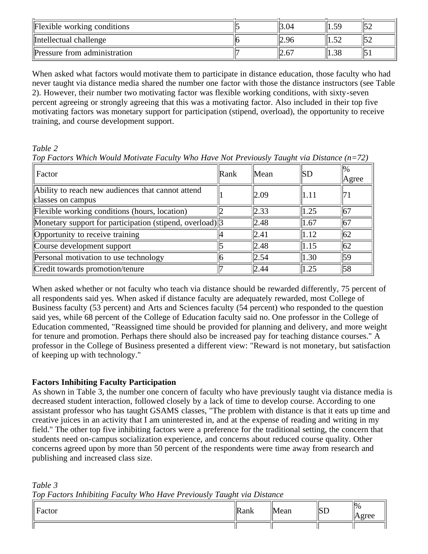| Flexible working conditions         | 3.04 | 1.59       |  |
|-------------------------------------|------|------------|--|
| Intellectual challenge              | 2.96 | $\epsilon$ |  |
| <b>Pressure from administration</b> | L.6  | 1.38       |  |

When asked what factors would motivate them to participate in distance education, those faculty who had never taught via distance media shared the number one factor with those the distance instructors (see Table 2). However, their number two motivating factor was flexible working conditions, with sixty-seven percent agreeing or strongly agreeing that this was a motivating factor. Also included in their top five motivating factors was monetary support for participation (stipend, overload), the opportunity to receive training, and course development support.

### *Table 2*

*Table 3* 

*Top Factors Which Would Motivate Faculty Who Have Not Previously Taught via Distance (n=72)*

| Factor                                                                 | Rank | Mean | SD               | $\frac{1}{2}$<br>Agree |
|------------------------------------------------------------------------|------|------|------------------|------------------------|
| Ability to reach new audiences that cannot attend<br>classes on campus |      | 2.09 | $\parallel$ 1.11 | 71                     |
| Flexible working conditions (hours, location)                          |      | 2.33 | 1.25             | 67                     |
| Monetary support for participation (stipend, overload) 3               |      | 2.48 | $\parallel$ 1.67 | 67                     |
| Opportunity to receive training                                        |      | 2.41 | $\parallel$ 1.12 | 62                     |
| Course development support                                             |      | 2.48 | $\parallel$ 1.15 | 162                    |
| Personal motivation to use technology                                  |      | 2.54 | 1.30             | 59                     |
| Credit towards promotion/tenure                                        |      | 2.44 | 1.25             | 58                     |

When asked whether or not faculty who teach via distance should be rewarded differently, 75 percent of all respondents said yes. When asked if distance faculty are adequately rewarded, most College of Business faculty (53 percent) and Arts and Sciences faculty (54 percent) who responded to the question said yes, while 68 percent of the College of Education faculty said no. One professor in the College of Education commented, "Reassigned time should be provided for planning and delivery, and more weight for tenure and promotion. Perhaps there should also be increased pay for teaching distance courses." A professor in the College of Business presented a different view: "Reward is not monetary, but satisfaction of keeping up with technology."

# **Factors Inhibiting Faculty Participation**

As shown in Table 3, the number one concern of faculty who have previously taught via distance media is decreased student interaction, followed closely by a lack of time to develop course. According to one assistant professor who has taught GSAMS classes, "The problem with distance is that it eats up time and creative juices in an activity that I am uninterested in, and at the expense of reading and writing in my field." The other top five inhibiting factors were a preference for the traditional setting, the concern that students need on-campus socialization experience, and concerns about reduced course quality. Other concerns agreed upon by more than 50 percent of the respondents were time away from research and publishing and increased class size.

| $\blacksquare$<br>Factor | $\mathbb{R}$ ank | ⁄lean | SD | $\frac{1}{9}$<br>$\alpha$<br><b>TEILL</b> |
|--------------------------|------------------|-------|----|-------------------------------------------|
|                          |                  |       |    |                                           |

*Top Factors Inhibiting Faculty Who Have Previously Taught via Distance*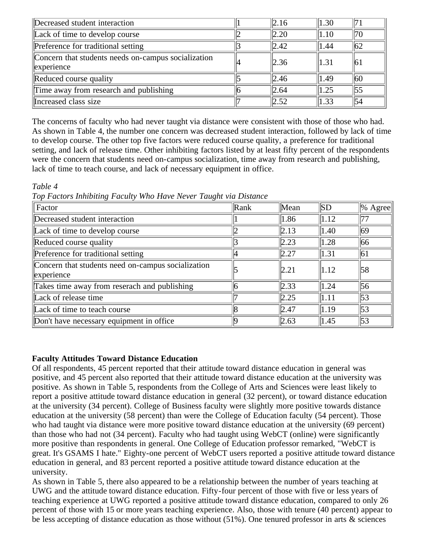| Decreased student interaction                                          | 2.16 | 1.30 | $\frac{1}{2}$  |
|------------------------------------------------------------------------|------|------|----------------|
| Lack of time to develop course                                         | 2.20 | 1.10 | 170            |
| Preference for traditional setting                                     | 2.42 | 1.44 | $\frac{1}{62}$ |
| Concern that students needs on-campus socialization<br>$\ $ experience | 2.36 | 1.31 | '61            |
| Reduced course quality                                                 | 2.46 | 1.49 | $\frac{1}{60}$ |
| Time away from research and publishing                                 | 2.64 | 1.25 | 155            |
| Increased class size                                                   | 2.52 | 1.33 | $\parallel$ 54 |

The concerns of faculty who had never taught via distance were consistent with those of those who had. As shown in Table 4, the number one concern was decreased student interaction, followed by lack of time to develop course. The other top five factors were reduced course quality, a preference for traditional setting, and lack of release time. Other inhibiting factors listed by at least fifty percent of the respondents were the concern that students need on-campus socialization, time away from research and publishing, lack of time to teach course, and lack of necessary equipment in office.

*Table 4* 

*Top Factors Inhibiting Faculty Who Have Never Taught via Distance*

| Factor                                                           | $\ $ Rank | Mean             | SD             | $\ %$ Agree |
|------------------------------------------------------------------|-----------|------------------|----------------|-------------|
| Decreased student interaction                                    |           | $\parallel$ 1.86 | 1.12           |             |
| Lack of time to develop course                                   |           | 2.13             | $ 1.40\rangle$ | 169         |
| Reduced course quality                                           |           | 2.23             | 1.28           | 66          |
| Preference for traditional setting                               |           | 2.27             | 1.31           | 61          |
| Concern that students need on-campus socialization<br>experience |           | 2.21             | $ 1.12\rangle$ | 58          |
| Takes time away from reserach and publishing                     |           | 2.33             | 1.24           | 56          |
| Lack of release time                                             |           | 2.25             | 1.11           | 53          |
| Lack of time to teach course                                     |           | 2.47             | 1.19           | 153         |
| Don't have necessary equipment in office                         |           | 2.63             | 1.45           | 153         |

### **Faculty Attitudes Toward Distance Education**

Of all respondents, 45 percent reported that their attitude toward distance education in general was positive, and 45 percent also reported that their attitude toward distance education at the university was positive. As shown in Table 5, respondents from the College of Arts and Sciences were least likely to report a positive attitude toward distance education in general (32 percent), or toward distance education at the university (34 percent). College of Business faculty were slightly more positive towards distance education at the university (58 percent) than were the College of Education faculty (54 percent). Those who had taught via distance were more positive toward distance education at the university (69 percent) than those who had not (34 percent). Faculty who had taught using WebCT (online) were significantly more positive than respondents in general. One College of Education professor remarked, "WebCT is great. It's GSAMS I hate." Eighty-one percent of WebCT users reported a positive attitude toward distance education in general, and 83 percent reported a positive attitude toward distance education at the university.

As shown in Table 5, there also appeared to be a relationship between the number of years teaching at UWG and the attitude toward distance education. Fifty-four percent of those with five or less years of teaching experience at UWG reported a positive attitude toward distance education, compared to only 26 percent of those with 15 or more years teaching experience. Also, those with tenure (40 percent) appear to be less accepting of distance education as those without (51%). One tenured professor in arts & sciences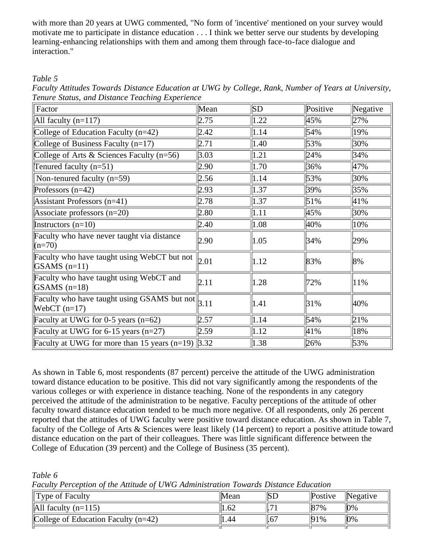with more than 20 years at UWG commented, "No form of 'incentive' mentioned on your survey would motivate me to participate in distance education . . . I think we better serve our students by developing learning-enhancing relationships with them and among them through face-to-face dialogue and interaction."

*Table 5* 

*Faculty Attitudes Towards Distance Education at UWG by College, Rank, Number of Years at University, Tenure Status, and Distance Teaching Experience*

| Factor                                                                                          | Mean | SD   | Positive | Negative |
|-------------------------------------------------------------------------------------------------|------|------|----------|----------|
| All faculty $(n=117)$                                                                           | 2.75 | 1.22 | 45%      | 27%      |
| College of Education Faculty $(n=42)$                                                           | 2.42 | 1.14 | 54%      | 19%      |
| College of Business Faculty $(n=17)$                                                            | 2.71 | 1.40 | 53%      | 30%      |
| College of Arts $&$ Sciences Faculty (n=56)                                                     | 3.03 | 1.21 | 24%      | 34%      |
| Tenured faculty $(n=51)$                                                                        | 2.90 | 1.70 | 36%      | 47%      |
| Non-tenured faculty $(n=59)$                                                                    | 2.56 | 1.14 | 53%      | 30%      |
| Professors $(n=42)$                                                                             | 2.93 | 1.37 | 39%      | 35%      |
| Assistant Professors (n=41)                                                                     | 2.78 | 1.37 | 51%      | 41%      |
| Associate professors $(n=20)$                                                                   | 2.80 | 1.11 | 45%      | 30%      |
| Instructors $(n=10)$                                                                            | 2.40 | 1.08 | 40%      | 10%      |
| Faculty who have never taught via distance<br>$(n=70)$                                          | 2.90 | 1.05 | 34%      | 29%      |
| Faculty who have taught using WebCT but not<br>$GSAMS (n=11)$                                   | 2.01 | 1.12 | 83%      | 8%       |
| Faculty who have taught using WebCT and<br>$GSAMS (n=18)$                                       | 2.11 | 1.28 | 72%      | 11%      |
| Faculty who have taught using GSAMS but not $\left\  \frac{1}{3.11} \right\ $<br>WebCT $(n=17)$ |      | 1.41 | 31%      | 40%      |
| Faculty at UWG for 0-5 years $(n=62)$                                                           | 2.57 | 1.14 | 54%      | 21%      |
| Faculty at UWG for 6-15 years $(n=27)$                                                          | 2.59 | 1.12 | 41%      | 18%      |
| Faculty at UWG for more than 15 years (n=19) $\left 3.32\right $                                |      | 1.38 | 26%      | 53%      |

As shown in Table 6, most respondents (87 percent) perceive the attitude of the UWG administration toward distance education to be positive. This did not vary significantly among the respondents of the various colleges or with experience in distance teaching. None of the respondents in any category perceived the attitude of the administration to be negative. Faculty perceptions of the attitude of other faculty toward distance education tended to be much more negative. Of all respondents, only 26 percent reported that the attitudes of UWG faculty were positive toward distance education. As shown in Table 7, faculty of the College of Arts & Sciences were least likely (14 percent) to report a positive attitude toward distance education on the part of their colleagues. There was little significant difference between the College of Education (39 percent) and the College of Business (35 percent).

*Table 6* 

*Faculty Perception of the Attitude of UWG Administration Towards Distance Education*

| $\ $ Type of Faculty                  | Mean | ΙSΕ   | <i>Postive</i> | Negative |
|---------------------------------------|------|-------|----------------|----------|
| $\ $ All faculty (n=115)              | 1.62 |       | $ 87\%$        | $10\%$   |
| College of Education Faculty $(n=42)$ | 1.44 | $.6-$ | 91%            | $10\%$   |
|                                       |      |       |                |          |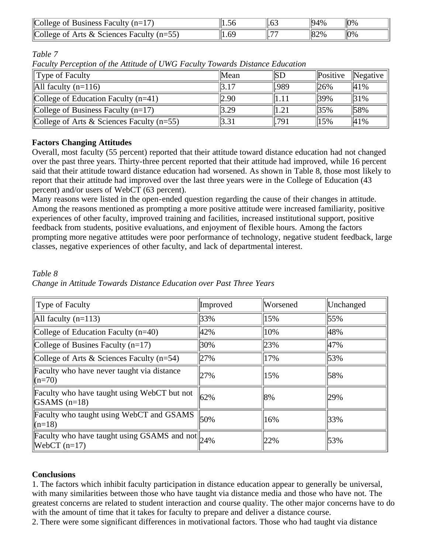| $ $ College of<br><b>Business Faculty</b><br>$(n=1)$ |    | ll.b.          | 94%      | 10%    |
|------------------------------------------------------|----|----------------|----------|--------|
| College of Arts & Sciences Faculty<br>$(n=55)$       | 6C | $\overline{ }$ | $\ 82\%$ | $10\%$ |

*Table 7* 

*Faculty Perception of the Attitude of UWG Faculty Towards Distance Education*

| The thing I creep non of the Think are of $\sigma$ if $\sigma$ I denity Town as Distance Lancanon |      |      |                |                  |  |  |
|---------------------------------------------------------------------------------------------------|------|------|----------------|------------------|--|--|
| Type of Faculty                                                                                   | Mean | SD   | $\ Positive\ $ | $\vert$ Negative |  |  |
| $\ $ All faculty (n=116)                                                                          | 3.17 | .989 | $ 26\%$        | 41%              |  |  |
| College of Education Faculty $(n=41)$                                                             | 2.90 | 1.11 | 39%            | $ 31\%$          |  |  |
| College of Business Faculty $(n=17)$                                                              | 3.29 | 1.21 | $ 35\%$        | 58%              |  |  |
| College of Arts & Sciences Faculty ( $n=55$ )                                                     | 3.31 | .791 | 15%            | 41%              |  |  |

## **Factors Changing Attitudes**

Overall, most faculty (55 percent) reported that their attitude toward distance education had not changed over the past three years. Thirty-three percent reported that their attitude had improved, while 16 percent said that their attitude toward distance education had worsened. As shown in Table 8, those most likely to report that their attitude had improved over the last three years were in the College of Education (43 percent) and/or users of WebCT (63 percent).

Many reasons were listed in the open-ended question regarding the cause of their changes in attitude. Among the reasons mentioned as prompting a more positive attitude were increased familiarity, positive experiences of other faculty, improved training and facilities, increased institutional support, positive feedback from students, positive evaluations, and enjoyment of flexible hours. Among the factors prompting more negative attitudes were poor performance of technology, negative student feedback, large classes, negative experiences of other faculty, and lack of departmental interest.

| Type of Faculty                                                          | Improved | Worsened | Unchanged |
|--------------------------------------------------------------------------|----------|----------|-----------|
| All faculty $(n=113)$                                                    | 33%      | 15%      | 55%       |
| College of Education Faculty $(n=40)$                                    | 42%      | 10%      | 48%       |
| College of Busines Faculty $(n=17)$                                      | 30%      | 23%      | 47%       |
| College of Arts & Sciences Faculty $(n=54)$                              | 27%      | 17%      | 53%       |
| Faculty who have never taught via distance<br>$(n=70)$                   | 27%      | 15%      | 58%       |
| Faculty who have taught using WebCT but not<br>$ GSAMS (n=18)$           | 62%      | 8%       | 29%       |
| Faculty who taught using WebCT and GSAMS<br>$(n=18)$                     | 50%      | 16%      | 33%       |
| Faculty who have taught using GSAMS and not $\ 24\%$<br>$[WebCT (n=17)]$ |          | 22%      | 53%       |

#### *Table 8 Change in Attitude Towards Distance Education over Past Three Years*

### **Conclusions**

1. The factors which inhibit faculty participation in distance education appear to generally be universal, with many similarities between those who have taught via distance media and those who have not. The greatest concerns are related to student interaction and course quality. The other major concerns have to do with the amount of time that it takes for faculty to prepare and deliver a distance course.

2. There were some significant differences in motivational factors. Those who had taught via distance